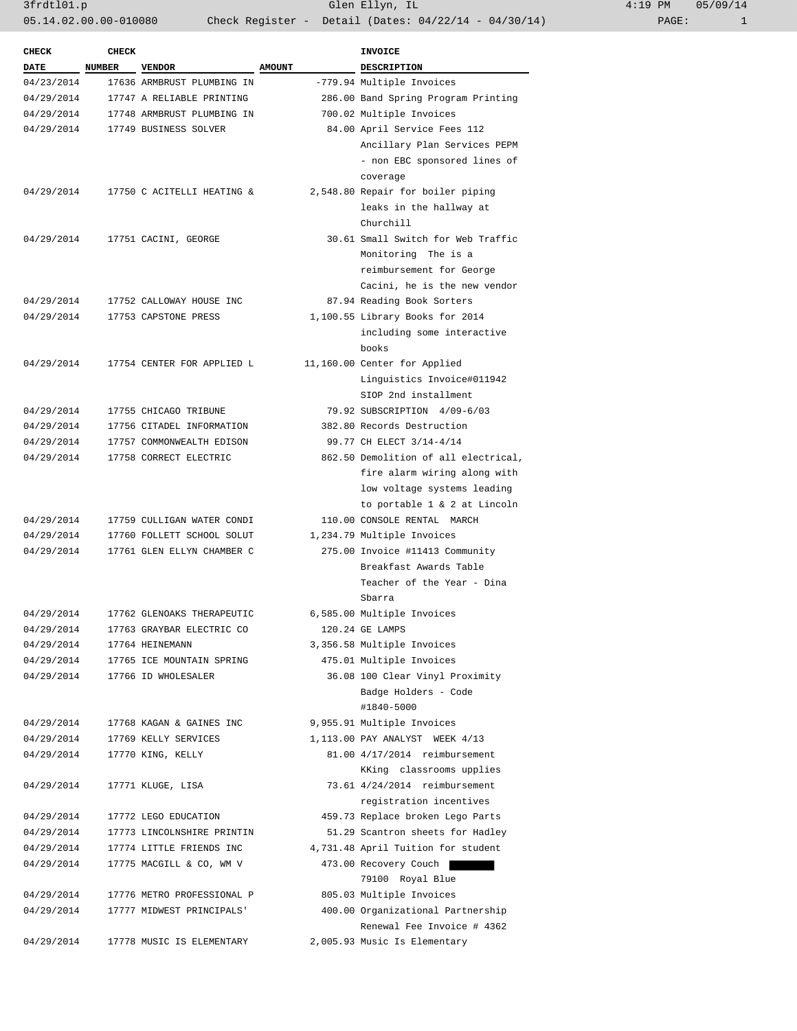| $:19$ PM |       | 05/09/14 |
|----------|-------|----------|
|          | PAGE: |          |

| <b>CHECK</b> | <b>CHECK</b>  |                                                  | <b>INVOICE</b> |                                                             |  |  |
|--------------|---------------|--------------------------------------------------|----------------|-------------------------------------------------------------|--|--|
| <b>DATE</b>  | <b>NUMBER</b> | <b>VENDOR</b>                                    | <b>AMOUNT</b>  | DESCRIPTION                                                 |  |  |
| 04/23/2014   |               | 17636 ARMBRUST PLUMBING IN                       |                | -779.94 Multiple Invoices                                   |  |  |
| 04/29/2014   |               | 17747 A RELIABLE PRINTING                        |                | 286.00 Band Spring Program Printing                         |  |  |
| 04/29/2014   |               | 17748 ARMBRUST PLUMBING IN                       |                | 700.02 Multiple Invoices                                    |  |  |
|              |               | 04/29/2014 17749 BUSINESS SOLVER                 |                | 84.00 April Service Fees 112                                |  |  |
|              |               |                                                  |                | Ancillary Plan Services PEPM                                |  |  |
|              |               |                                                  |                | - non EBC sponsored lines of                                |  |  |
|              |               |                                                  |                | coverage                                                    |  |  |
|              |               | 04/29/2014 17750 C ACITELLI HEATING &            |                | 2,548.80 Repair for boiler piping                           |  |  |
|              |               |                                                  |                | leaks in the hallway at                                     |  |  |
|              |               |                                                  |                | Churchill                                                   |  |  |
| 04/29/2014   |               | 17751 CACINI, GEORGE                             |                | 30.61 Small Switch for Web Traffic                          |  |  |
|              |               |                                                  |                | Monitoring The is a                                         |  |  |
|              |               |                                                  |                | reimbursement for George                                    |  |  |
|              |               |                                                  |                | Cacini, he is the new vendor                                |  |  |
| 04/29/2014   |               | 17752 CALLOWAY HOUSE INC                         |                | 87.94 Reading Book Sorters                                  |  |  |
| 04/29/2014   |               | 17753 CAPSTONE PRESS                             |                | 1,100.55 Library Books for 2014                             |  |  |
|              |               |                                                  |                | including some interactive                                  |  |  |
|              |               |                                                  |                | books                                                       |  |  |
| 04/29/2014   |               | 17754 CENTER FOR APPLIED L                       |                | 11,160.00 Center for Applied                                |  |  |
|              |               |                                                  |                | Linquistics Invoice#011942                                  |  |  |
|              |               |                                                  |                | SIOP 2nd installment                                        |  |  |
| 04/29/2014   |               | 17755 CHICAGO TRIBUNE                            |                | 79.92 SUBSCRIPTION 4/09-6/03                                |  |  |
| 04/29/2014   |               | 17756 CITADEL INFORMATION                        |                | 382.80 Records Destruction                                  |  |  |
| 04/29/2014   |               | 17757 COMMONWEALTH EDISON                        |                | 99.77 CH ELECT 3/14-4/14                                    |  |  |
| 04/29/2014   |               | 17758 CORRECT ELECTRIC                           |                | 862.50 Demolition of all electrical,                        |  |  |
|              |               |                                                  |                | fire alarm wiring along with                                |  |  |
|              |               |                                                  |                | low voltage systems leading                                 |  |  |
|              |               |                                                  |                | to portable 1 & 2 at Lincoln                                |  |  |
| 04/29/2014   |               | 17759 CULLIGAN WATER CONDI                       |                | 110.00 CONSOLE RENTAL MARCH                                 |  |  |
| 04/29/2014   |               | 17760 FOLLETT SCHOOL SOLUT                       |                | 1,234.79 Multiple Invoices                                  |  |  |
| 04/29/2014   |               | 17761 GLEN ELLYN CHAMBER C                       |                | 275.00 Invoice #11413 Community                             |  |  |
|              |               |                                                  |                | Breakfast Awards Table                                      |  |  |
|              |               |                                                  |                | Teacher of the Year - Dina                                  |  |  |
|              |               |                                                  |                | Sbarra                                                      |  |  |
| 04/29/2014   |               | 17762 GLENOAKS THERAPEUTIC                       |                | 6,585.00 Multiple Invoices                                  |  |  |
| 04/29/2014   |               | 17763 GRAYBAR ELECTRIC CO                        |                | 120.24 GE LAMPS                                             |  |  |
| 04/29/2014   |               | 17764 HEINEMANN                                  |                | 3,356.58 Multiple Invoices                                  |  |  |
| 04/29/2014   |               | 17765 ICE MOUNTAIN SPRING<br>17766 ID WHOLESALER |                | 475.01 Multiple Invoices<br>36.08 100 Clear Vinyl Proximity |  |  |
| 04/29/2014   |               |                                                  |                | Badge Holders - Code                                        |  |  |
|              |               |                                                  |                | #1840-5000                                                  |  |  |
| 04/29/2014   |               | 17768 KAGAN & GAINES INC                         |                | 9,955.91 Multiple Invoices                                  |  |  |
| 04/29/2014   |               | 17769 KELLY SERVICES                             |                | 1,113.00 PAY ANALYST WEEK 4/13                              |  |  |
| 04/29/2014   |               | 17770 KING, KELLY                                |                | 81.00 4/17/2014 reimbursement                               |  |  |
|              |               |                                                  |                | KKing classrooms upplies                                    |  |  |
| 04/29/2014   |               | 17771 KLUGE, LISA                                |                | 73.61 4/24/2014 reimbursement                               |  |  |
|              |               |                                                  |                | registration incentives                                     |  |  |
| 04/29/2014   |               | 17772 LEGO EDUCATION                             |                | 459.73 Replace broken Lego Parts                            |  |  |
| 04/29/2014   |               | 17773 LINCOLNSHIRE PRINTIN                       |                | 51.29 Scantron sheets for Hadley                            |  |  |
| 04/29/2014   |               | 17774 LITTLE FRIENDS INC                         |                | 4,731.48 April Tuition for student                          |  |  |
| 04/29/2014   |               | 17775 MACGILL & CO, WM V                         |                | 473.00 Recovery Couch                                       |  |  |
|              |               |                                                  |                | 79100 Royal Blue                                            |  |  |
| 04/29/2014   |               | 17776 METRO PROFESSIONAL P                       |                | 805.03 Multiple Invoices                                    |  |  |
| 04/29/2014   |               | 17777 MIDWEST PRINCIPALS'                        |                | 400.00 Organizational Partnership                           |  |  |
|              |               |                                                  |                | Renewal Fee Invoice # 4362                                  |  |  |
| 04/29/2014   |               | 17778 MUSIC IS ELEMENTARY                        |                | 2,005.93 Music Is Elementary                                |  |  |
|              |               |                                                  |                |                                                             |  |  |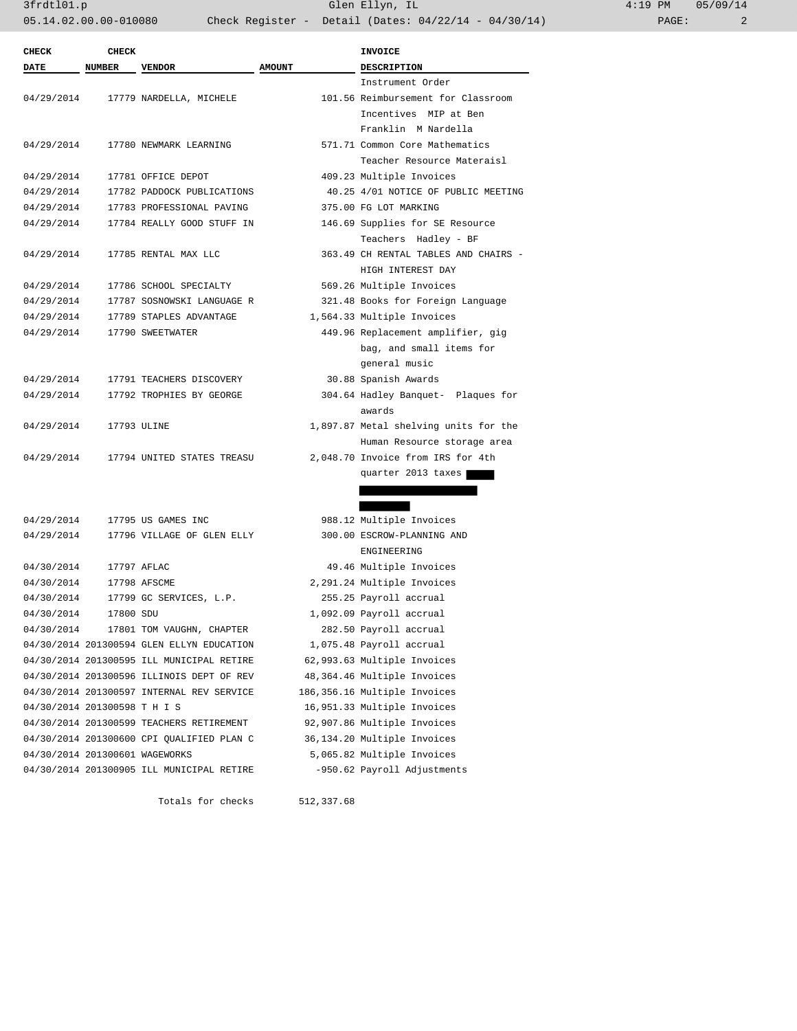3frdtl01.p Glen Ellyn, IL 4:19 PM 05/09/14 05.14.02.00.00-010080 Check Register - Detail (Dates: 04/22/14 - 04/30/14) PAGE: 2

| <b>CHECK</b>                   | <b>CHECK</b>  |                                           |               | <b>INVOICE</b>                        |
|--------------------------------|---------------|-------------------------------------------|---------------|---------------------------------------|
| DATE                           | <b>NUMBER</b> | <b>VENDOR</b>                             | <b>AMOUNT</b> | <b>DESCRIPTION</b>                    |
|                                |               |                                           |               | Instrument Order                      |
| 04/29/2014                     |               | 17779 NARDELLA, MICHELE                   |               | 101.56 Reimbursement for Classroom    |
|                                |               |                                           |               | Incentives MIP at Ben                 |
|                                |               |                                           |               | Franklin M Nardella                   |
| 04/29/2014                     |               | 17780 NEWMARK LEARNING                    |               | 571.71 Common Core Mathematics        |
|                                |               |                                           |               | Teacher Resource Materaisl            |
| 04/29/2014                     |               | 17781 OFFICE DEPOT                        |               | 409.23 Multiple Invoices              |
| 04/29/2014                     |               | 17782 PADDOCK PUBLICATIONS                |               | 40.25 4/01 NOTICE OF PUBLIC MEETING   |
| 04/29/2014                     |               | 17783 PROFESSIONAL PAVING                 |               | 375.00 FG LOT MARKING                 |
| 04/29/2014                     |               | 17784 REALLY GOOD STUFF IN                |               | 146.69 Supplies for SE Resource       |
|                                |               |                                           |               | Teachers Hadley - BF                  |
| 04/29/2014                     |               | 17785 RENTAL MAX LLC                      |               | 363.49 CH RENTAL TABLES AND CHAIRS -  |
|                                |               |                                           |               | HIGH INTEREST DAY                     |
| 04/29/2014                     |               | 17786 SCHOOL SPECIALTY                    |               | 569.26 Multiple Invoices              |
| 04/29/2014                     |               | 17787 SOSNOWSKI LANGUAGE R                |               | 321.48 Books for Foreign Language     |
| 04/29/2014                     |               | 17789 STAPLES ADVANTAGE                   |               | 1,564.33 Multiple Invoices            |
| 04/29/2014                     |               | 17790 SWEETWATER                          |               | 449.96 Replacement amplifier, gig     |
|                                |               |                                           |               | bag, and small items for              |
|                                |               |                                           |               | general music                         |
| 04/29/2014                     |               | 17791 TEACHERS DISCOVERY                  |               | 30.88 Spanish Awards                  |
| 04/29/2014                     |               | 17792 TROPHIES BY GEORGE                  |               | 304.64 Hadley Banquet- Plaques for    |
|                                |               |                                           |               | awards                                |
| 04/29/2014                     |               | 17793 ULINE                               |               | 1,897.87 Metal shelving units for the |
|                                |               |                                           |               | Human Resource storage area           |
| 04/29/2014                     |               | 17794 UNITED STATES TREASU                |               | 2,048.70 Invoice from IRS for 4th     |
|                                |               |                                           |               | quarter 2013 taxes                    |
|                                |               |                                           |               |                                       |
|                                |               |                                           |               |                                       |
| 04/29/2014                     |               | 17795 US GAMES INC                        |               | 988.12 Multiple Invoices              |
| 04/29/2014                     |               | 17796 VILLAGE OF GLEN ELLY                |               | 300.00 ESCROW-PLANNING AND            |
|                                |               |                                           |               | ENGINEERING                           |
| 04/30/2014                     |               | 17797 AFLAC                               |               | 49.46 Multiple Invoices               |
| 04/30/2014                     |               | 17798 AFSCME                              |               | 2,291.24 Multiple Invoices            |
| 04/30/2014                     |               | 17799 GC SERVICES, L.P.                   |               | 255.25 Payroll accrual                |
| 04/30/2014                     | 17800 SDU     |                                           |               | 1,092.09 Payroll accrual              |
| 04/30/2014                     |               | 17801 TOM VAUGHN, CHAPTER                 |               | 282.50 Payroll accrual                |
|                                |               | 04/30/2014 201300594 GLEN ELLYN EDUCATION |               | 1,075.48 Payroll accrual              |
|                                |               | 04/30/2014 201300595 ILL MUNICIPAL RETIRE |               | 62,993.63 Multiple Invoices           |
|                                |               | 04/30/2014 201300596 ILLINOIS DEPT OF REV |               | 48,364.46 Multiple Invoices           |
|                                |               | 04/30/2014 201300597 INTERNAL REV SERVICE |               | 186,356.16 Multiple Invoices          |
| 04/30/2014 201300598 T H I S   |               |                                           |               | 16,951.33 Multiple Invoices           |
|                                |               | 04/30/2014 201300599 TEACHERS RETIREMENT  |               | 92,907.86 Multiple Invoices           |
|                                |               | 04/30/2014 201300600 CPI QUALIFIED PLAN C |               | 36,134.20 Multiple Invoices           |
| 04/30/2014 201300601 WAGEWORKS |               |                                           |               | 5,065.82 Multiple Invoices            |
|                                |               | 04/30/2014 201300905 ILL MUNICIPAL RETIRE |               | -950.62 Payroll Adjustments           |

Totals for checks 512,337.68